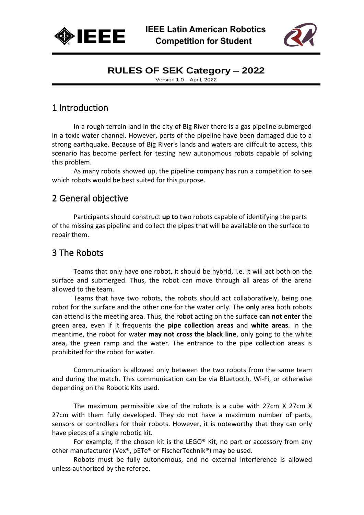



Version 1.0 – April, 2022

# 1 Introduction

In a rough terrain land in the city of Big River there is a gas pipeline submerged in a toxic water channel. However, parts of the pipeline have been damaged due to a strong earthquake. Because of Big River's lands and waters are diffcult to access, this scenario has become perfect for testing new autonomous robots capable of solving this problem.

As many robots showed up, the pipeline company has run a competition to see which robots would be best suited for this purpose.

# 2 General objective

Participants should construct **up to** two robots capable of identifying the parts of the missing gas pipeline and collect the pipes that will be available on the surface to repair them.

# 3 The Robots

Teams that only have one robot, it should be hybrid, i.e. it will act both on the surface and submerged. Thus, the robot can move through all areas of the arena allowed to the team.

Teams that have two robots, the robots should act collaboratively, being one robot for the surface and the other one for the water only. The **only** area both robots can attend is the meeting area. Thus, the robot acting on the surface **can not enter** the green area, even if it frequents the **pipe collection areas** and **white areas**. In the meantime, the robot for water **may not cross the black line**, only going to the white area, the green ramp and the water. The entrance to the pipe collection areas is prohibited for the robot for water.

Communication is allowed only between the two robots from the same team and during the match. This communication can be via Bluetooth, Wi-Fi, or otherwise depending on the Robotic Kits used.

The maximum permissible size of the robots is a cube with 27cm X 27cm X 27cm with them fully developed. They do not have a maximum number of parts, sensors or controllers for their robots. However, it is noteworthy that they can only have pieces of a single robotic kit.

For example, if the chosen kit is the LEGO® Kit, no part or accessory from any other manufacturer (Vex®, pETe® or FischerTechnik®) may be used.

Robots must be fully autonomous, and no external interference is allowed unless authorized by the referee.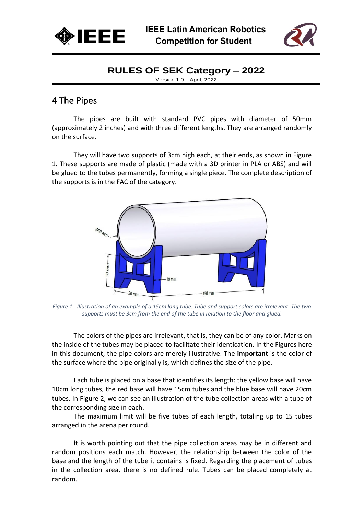



Version 1.0 – April, 2022

## 4 The Pipes

The pipes are built with standard PVC pipes with diameter of 50mm (approximately 2 inches) and with three different lengths. They are arranged randomly on the surface.

They will have two supports of 3cm high each, at their ends, as shown in Figure 1. These supports are made of plastic (made with a 3D printer in PLA or ABS) and will be glued to the tubes permanently, forming a single piece. The complete description of the supports is in the FAC of the category.



*Figure 1 - Illustration of an example of a 15cm long tube. Tube and support colors are irrelevant. The two supports must be 3cm from the end of the tube in relation to the floor and glued.*

The colors of the pipes are irrelevant, that is, they can be of any color. Marks on the inside of the tubes may be placed to facilitate their identication. In the Figures here in this document, the pipe colors are merely illustrative. The **important** is the color of the surface where the pipe originally is, which defines the size of the pipe.

Each tube is placed on a base that identifies its length: the yellow base will have 10cm long tubes, the red base will have 15cm tubes and the blue base will have 20cm tubes. In Figure 2, we can see an illustration of the tube collection areas with a tube of the corresponding size in each.

The maximum limit will be five tubes of each length, totaling up to 15 tubes arranged in the arena per round.

It is worth pointing out that the pipe collection areas may be in different and random positions each match. However, the relationship between the color of the base and the length of the tube it contains is fixed. Regarding the placement of tubes in the collection area, there is no defined rule. Tubes can be placed completely at random.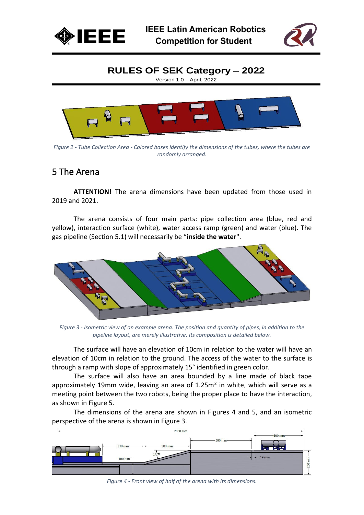



Version 1.0 – April, 2022



*Figure 2 - Tube Collection Area - Colored bases identify the dimensions of the tubes, where the tubes are randomly arranged.*

#### 5 The Arena

**ATTENTION!** The arena dimensions have been updated from those used in 2019 and 2021.

The arena consists of four main parts: pipe collection area (blue, red and yellow), interaction surface (white), water access ramp (green) and water (blue). The gas pipeline (Section 5.1) will necessarily be "**inside the water**".



*Figure 3 - Isometric view of an example arena. The position and quantity of pipes, in addition to the pipeline layout, are merely illustrative. Its composition is detailed below.*

The surface will have an elevation of 10cm in relation to the water will have an elevation of 10cm in relation to the ground. The access of the water to the surface is through a ramp with slope of approximately 15° identified in green color.

The surface will also have an area bounded by a line made of black tape approximately 19mm wide, leaving an area of  $1.25m<sup>2</sup>$  in white, which will serve as a meeting point between the two robots, being the proper place to have the interaction, as shown in Figure 5.

The dimensions of the arena are shown in Figures 4 and 5, and an isometric perspective of the arena is shown in Figure 3.



*Figure 4 - Front view of half of the arena with its dimensions.*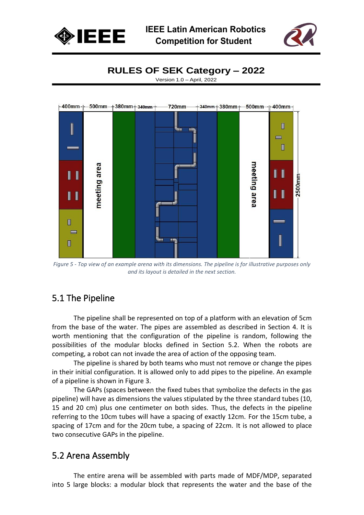



Version 1.0 – April, 2022



*Figure 5 - Top view of an example arena with its dimensions. The pipeline is for illustrative purposes only and its layout is detailed in the next section.*

## 5.1 The Pipeline

The pipeline shall be represented on top of a platform with an elevation of 5cm from the base of the water. The pipes are assembled as described in Section 4. It is worth mentioning that the configuration of the pipeline is random, following the possibilities of the modular blocks defined in Section 5.2. When the robots are competing, a robot can not invade the area of action of the opposing team.

The pipeline is shared by both teams who must not remove or change the pipes in their initial configuration. It is allowed only to add pipes to the pipeline. An example of a pipeline is shown in Figure 3.

The GAPs (spaces between the fixed tubes that symbolize the defects in the gas pipeline) will have as dimensions the values stipulated by the three standard tubes (10, 15 and 20 cm) plus one centimeter on both sides. Thus, the defects in the pipeline referring to the 10cm tubes will have a spacing of exactly 12cm. For the 15cm tube, a spacing of 17cm and for the 20cm tube, a spacing of 22cm. It is not allowed to place two consecutive GAPs in the pipeline.

#### 5.2 Arena Assembly

The entire arena will be assembled with parts made of MDF/MDP, separated into 5 large blocks: a modular block that represents the water and the base of the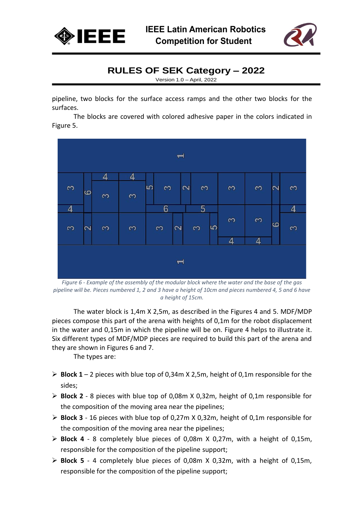



Version 1.0 – April, 2022

pipeline, two blocks for the surface access ramps and the other two blocks for the surfaces.

The blocks are covered with colored adhesive paper in the colors indicated in Figure 5.



*Figure 6 - Example of the assembly of the modular block where the water and the base of the gas pipeline will be. Pieces numbered 1, 2 and 3 have a height of 10cm and pieces numbered 4, 5 and 6 have a height of 15cm.*

The water block is 1,4m X 2,5m, as described in the Figures 4 and 5. MDF/MDP pieces compose this part of the arena with heights of 0,1m for the robot displacement in the water and 0,15m in which the pipeline will be on. Figure 4 helps to illustrate it. Six different types of MDF/MDP pieces are required to build this part of the arena and they are shown in Figures 6 and 7.

The types are:

- ➢ **Block 1** 2 pieces with blue top of 0,34m X 2,5m, height of 0,1m responsible for the sides;
- ➢ **Block 2** 8 pieces with blue top of 0,08m X 0,32m, height of 0,1m responsible for the composition of the moving area near the pipelines;
- ➢ **Block 3** 16 pieces with blue top of 0,27m X 0,32m, height of 0,1m responsible for the composition of the moving area near the pipelines;
- ➢ **Block 4** 8 completely blue pieces of 0,08m X 0,27m, with a height of 0,15m, responsible for the composition of the pipeline support;
- ➢ **Block 5** 4 completely blue pieces of 0,08m X 0,32m, with a height of 0,15m, responsible for the composition of the pipeline support;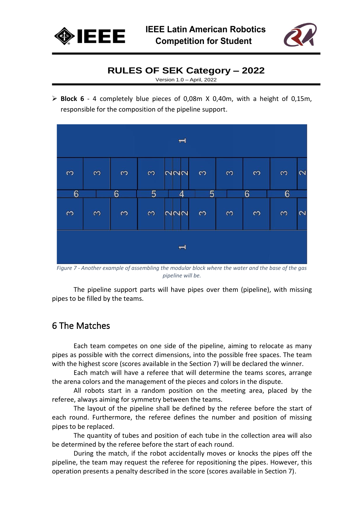



Version 1.0 – April, 2022

➢ **Block 6** - 4 completely blue pieces of 0,08m X 0,40m, with a height of 0,15m, responsible for the composition of the pipeline support.



*Figure 7 - Another example of assembling the modular block where the water and the base of the gas pipeline will be.*

The pipeline support parts will have pipes over them (pipeline), with missing pipes to be filled by the teams.

# 6 The Matches

Each team competes on one side of the pipeline, aiming to relocate as many pipes as possible with the correct dimensions, into the possible free spaces. The team with the highest score (scores available in the Section 7) will be declared the winner.

Each match will have a referee that will determine the teams scores, arrange the arena colors and the management of the pieces and colors in the dispute.

All robots start in a random position on the meeting area, placed by the referee, always aiming for symmetry between the teams.

The layout of the pipeline shall be defined by the referee before the start of each round. Furthermore, the referee defines the number and position of missing pipes to be replaced.

The quantity of tubes and position of each tube in the collection area will also be determined by the referee before the start of each round.

During the match, if the robot accidentally moves or knocks the pipes off the pipeline, the team may request the referee for repositioning the pipes. However, this operation presents a penalty described in the score (scores available in Section 7).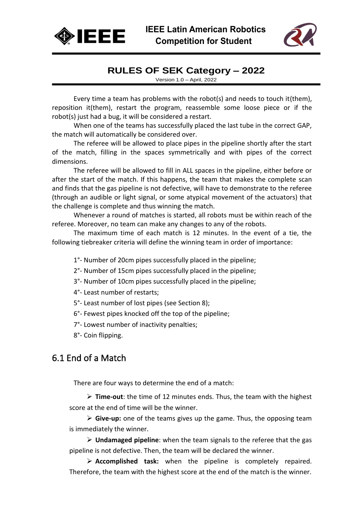



Version 1.0 – April, 2022

Every time a team has problems with the robot(s) and needs to touch it(them), reposition it(them), restart the program, reassemble some loose piece or if the robot(s) just had a bug, it will be considered a restart.

When one of the teams has successfully placed the last tube in the correct GAP, the match will automatically be considered over.

The referee will be allowed to place pipes in the pipeline shortly after the start of the match, filling in the spaces symmetrically and with pipes of the correct dimensions.

The referee will be allowed to fill in ALL spaces in the pipeline, either before or after the start of the match. If this happens, the team that makes the complete scan and finds that the gas pipeline is not defective, will have to demonstrate to the referee (through an audible or light signal, or some atypical movement of the actuators) that the challenge is complete and thus winning the match.

Whenever a round of matches is started, all robots must be within reach of the referee. Moreover, no team can make any changes to any of the robots.

The maximum time of each match is 12 minutes. In the event of a tie, the following tiebreaker criteria will define the winning team in order of importance:

1°- Number of 20cm pipes successfully placed in the pipeline;

2°- Number of 15cm pipes successfully placed in the pipeline;

3°- Number of 10cm pipes successfully placed in the pipeline;

4°- Least number of restarts;

5°- Least number of lost pipes (see Section 8);

6°- Fewest pipes knocked off the top of the pipeline;

7°- Lowest number of inactivity penalties;

8°- Coin flipping.

## 6.1 End of a Match

There are four ways to determine the end of a match:

➢ **Time-out**: the time of 12 minutes ends. Thus, the team with the highest score at the end of time will be the winner.

➢ **Give-up:** one of the teams gives up the game. Thus, the opposing team is immediately the winner.

➢ **Undamaged pipeline**: when the team signals to the referee that the gas pipeline is not defective. Then, the team will be declared the winner.

➢ **Accomplished task:** when the pipeline is completely repaired. Therefore, the team with the highest score at the end of the match is the winner.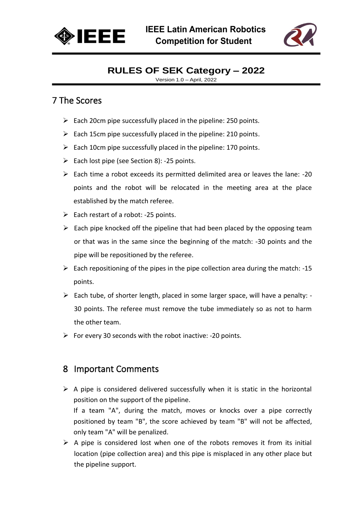



Version 1.0 – April, 2022

## 7 The Scores

- $\triangleright$  Each 20cm pipe successfully placed in the pipeline: 250 points.
- $\triangleright$  Each 15cm pipe successfully placed in the pipeline: 210 points.
- $\triangleright$  Each 10cm pipe successfully placed in the pipeline: 170 points.
- $\triangleright$  Each lost pipe (see Section 8): -25 points.
- ➢ Each time a robot exceeds its permitted delimited area or leaves the lane: -20 points and the robot will be relocated in the meeting area at the place established by the match referee.
- $\triangleright$  Each restart of a robot: -25 points.
- $\triangleright$  Each pipe knocked off the pipeline that had been placed by the opposing team or that was in the same since the beginning of the match: -30 points and the pipe will be repositioned by the referee.
- $\triangleright$  Each repositioning of the pipes in the pipe collection area during the match: -15 points.
- ➢ Each tube, of shorter length, placed in some larger space, will have a penalty: 30 points. The referee must remove the tube immediately so as not to harm the other team.
- $\triangleright$  For every 30 seconds with the robot inactive: -20 points.

#### 8 Important Comments

only team "A" will be penalized.

- $\triangleright$  A pipe is considered delivered successfully when it is static in the horizontal position on the support of the pipeline. If a team "A", during the match, moves or knocks over a pipe correctly positioned by team "B", the score achieved by team "B" will not be affected,
- $\triangleright$  A pipe is considered lost when one of the robots removes it from its initial location (pipe collection area) and this pipe is misplaced in any other place but the pipeline support.